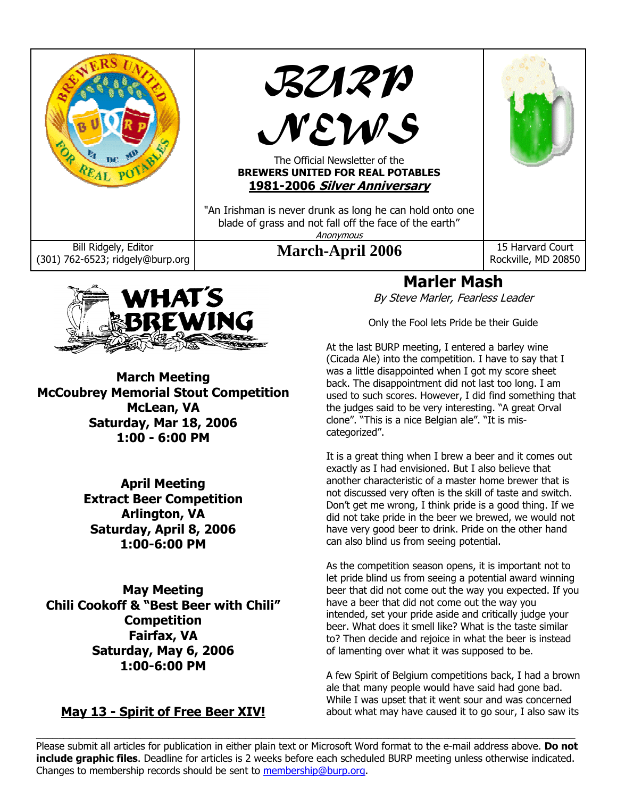



**March Meeting McCoubrey Memorial Stout Competition McLean, VA Saturday, Mar 18, 2006 1:00 - 6:00 PM** 

> **April Meeting Extract Beer Competition Arlington, VA Saturday, April 8, 2006 1:00-6:00 PM**

**May Meeting Chili Cookoff & "Best Beer with Chili" Competition Fairfax, VA Saturday, May 6, 2006 1:00-6:00 PM** 

## **May 13 - Spirit of Free Beer XIV!**

## **Marler Mash**

By Steve Marler, Fearless Leader

Only the Fool lets Pride be their Guide

At the last BURP meeting, I entered a barley wine (Cicada Ale) into the competition. I have to say that I was a little disappointed when I got my score sheet back. The disappointment did not last too long. I am used to such scores. However, I did find something that the judges said to be very interesting. "A great Orval clone". "This is a nice Belgian ale". "It is miscategorized".

It is a great thing when I brew a beer and it comes out exactly as I had envisioned. But I also believe that another characteristic of a master home brewer that is not discussed very often is the skill of taste and switch. Don't get me wrong, I think pride is a good thing. If we did not take pride in the beer we brewed, we would not have very good beer to drink. Pride on the other hand can also blind us from seeing potential.

As the competition season opens, it is important not to let pride blind us from seeing a potential award winning beer that did not come out the way you expected. If you have a beer that did not come out the way you intended, set your pride aside and critically judge your beer. What does it smell like? What is the taste similar to? Then decide and rejoice in what the beer is instead of lamenting over what it was supposed to be.

A few Spirit of Belgium competitions back, I had a brown ale that many people would have said had gone bad. While I was upset that it went sour and was concerned about what may have caused it to go sour, I also saw its

 $\_$  , and the state of the state of the state of the state of the state of the state of the state of the state of the state of the state of the state of the state of the state of the state of the state of the state of the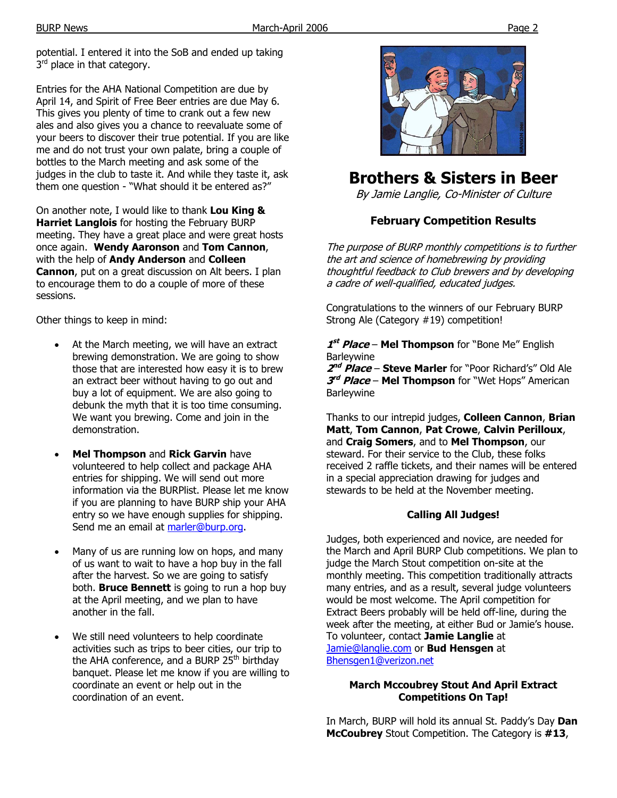potential. I entered it into the SoB and ended up taking  $3<sup>rd</sup>$  place in that category.

Entries for the AHA National Competition are due by April 14, and Spirit of Free Beer entries are due May 6. This gives you plenty of time to crank out a few new ales and also gives you a chance to reevaluate some of your beers to discover their true potential. If you are like me and do not trust your own palate, bring a couple of bottles to the March meeting and ask some of the judges in the club to taste it. And while they taste it, ask them one question - "What should it be entered as?"

On another note, I would like to thank **Lou King & Harriet Langlois** for hosting the February BURP meeting. They have a great place and were great hosts once again. **Wendy Aaronson** and **Tom Cannon**, with the help of **Andy Anderson** and **Colleen Cannon**, put on a great discussion on Alt beers. I plan to encourage them to do a couple of more of these sessions.

Other things to keep in mind:

- At the March meeting, we will have an extract brewing demonstration. We are going to show those that are interested how easy it is to brew an extract beer without having to go out and buy a lot of equipment. We are also going to debunk the myth that it is too time consuming. We want you brewing. Come and join in the demonstration.
- **Mel Thompson** and **Rick Garvin** have volunteered to help collect and package AHA entries for shipping. We will send out more information via the BURPlist. Please let me know if you are planning to have BURP ship your AHA entry so we have enough supplies for shipping. Send me an email at marler@burp.org.
- Many of us are running low on hops, and many of us want to wait to have a hop buy in the fall after the harvest. So we are going to satisfy both. **Bruce Bennett** is going to run a hop buy at the April meeting, and we plan to have another in the fall.
- We still need volunteers to help coordinate activities such as trips to beer cities, our trip to the AHA conference, and a BURP 25<sup>th</sup> birthday banquet. Please let me know if you are willing to coordinate an event or help out in the coordination of an event.



# **Brothers & Sisters in Beer**

By Jamie Langlie, Co-Minister of Culture

## **February Competition Results**

The purpose of BURP monthly competitions is to further the art and science of homebrewing by providing thoughtful feedback to Club brewers and by developing a cadre of well-qualified, educated judges.

Congratulations to the winners of our February BURP Strong Ale (Category #19) competition!

**<sup>1</sup>st Place** – **Mel Thompson** for "Bone Me" English **Barleywine** 

**<sup>2</sup>nd Place** – **Steve Marler** for "Poor Richard's" Old Ale **<sup>3</sup>rd Place** – **Mel Thompson** for "Wet Hops" American **Barleywine** 

Thanks to our intrepid judges, **Colleen Cannon**, **Brian Matt**, **Tom Cannon**, **Pat Crowe**, **Calvin Perilloux**, and **Craig Somers**, and to **Mel Thompson**, our steward. For their service to the Club, these folks received 2 raffle tickets, and their names will be entered in a special appreciation drawing for judges and stewards to be held at the November meeting.

## **Calling All Judges!**

Judges, both experienced and novice, are needed for the March and April BURP Club competitions. We plan to judge the March Stout competition on-site at the monthly meeting. This competition traditionally attracts many entries, and as a result, several judge volunteers would be most welcome. The April competition for Extract Beers probably will be held off-line, during the week after the meeting, at either Bud or Jamie's house. To volunteer, contact **Jamie Langlie** at Jamie@langlie.com or **Bud Hensgen** at Bhensgen1@verizon.net

### **March Mccoubrey Stout And April Extract Competitions On Tap!**

In March, BURP will hold its annual St. Paddy's Day **Dan McCoubrey** Stout Competition. The Category is **#13**,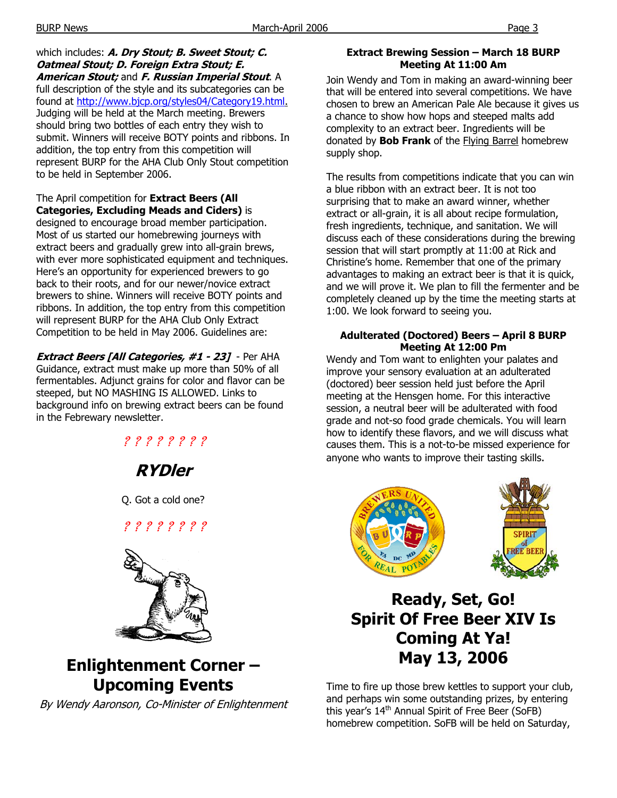which includes: **A. Dry Stout; B. Sweet Stout; C. Oatmeal Stout; D. Foreign Extra Stout; E. American Stout;** and **F. Russian Imperial Stout**. A full description of the style and its subcategories can be found at http://www.bjcp.org/styles04/Category19.html. Judging will be held at the March meeting. Brewers should bring two bottles of each entry they wish to submit. Winners will receive BOTY points and ribbons. In addition, the top entry from this competition will represent BURP for the AHA Club Only Stout competition to be held in September 2006.

The April competition for **Extract Beers (All Categories, Excluding Meads and Ciders)** is designed to encourage broad member participation. Most of us started our homebrewing journeys with extract beers and gradually grew into all-grain brews, with ever more sophisticated equipment and techniques. Here's an opportunity for experienced brewers to go back to their roots, and for our newer/novice extract brewers to shine. Winners will receive BOTY points and ribbons. In addition, the top entry from this competition will represent BURP for the AHA Club Only Extract Competition to be held in May 2006. Guidelines are:

**Extract Beers [All Categories, #1 - 23]** - Per AHA Guidance, extract must make up more than 50% of all fermentables. Adjunct grains for color and flavor can be steeped, but NO MASHING IS ALLOWED. Links to background info on brewing extract beers can be found in the Febrewary newsletter.

> ? ? ? ? ? ? ? ? **RYDler**

Q. Got a cold one?

? ? ? ? ? ? ? ?



**Enlightenment Corner – Upcoming Events** 

By Wendy Aaronson, Co-Minister of Enlightenment

## **Extract Brewing Session – March 18 BURP Meeting At 11:00 Am**

Join Wendy and Tom in making an award-winning beer that will be entered into several competitions. We have chosen to brew an American Pale Ale because it gives us a chance to show how hops and steeped malts add complexity to an extract beer. Ingredients will be donated by **Bob Frank** of the Flying Barrel homebrew supply shop.

The results from competitions indicate that you can win a blue ribbon with an extract beer. It is not too surprising that to make an award winner, whether extract or all-grain, it is all about recipe formulation, fresh ingredients, technique, and sanitation. We will discuss each of these considerations during the brewing session that will start promptly at 11:00 at Rick and Christine's home. Remember that one of the primary advantages to making an extract beer is that it is quick, and we will prove it. We plan to fill the fermenter and be completely cleaned up by the time the meeting starts at 1:00. We look forward to seeing you.

## **Adulterated (Doctored) Beers – April 8 BURP Meeting At 12:00 Pm**

Wendy and Tom want to enlighten your palates and improve your sensory evaluation at an adulterated (doctored) beer session held just before the April meeting at the Hensgen home. For this interactive session, a neutral beer will be adulterated with food grade and not-so food grade chemicals. You will learn how to identify these flavors, and we will discuss what causes them. This is a not-to-be missed experience for anyone who wants to improve their tasting skills.



# **Ready, Set, Go! Spirit Of Free Beer XIV Is Coming At Ya! May 13, 2006**

Time to fire up those brew kettles to support your club, and perhaps win some outstanding prizes, by entering this year's 14<sup>th</sup> Annual Spirit of Free Beer (SoFB) homebrew competition. SoFB will be held on Saturday,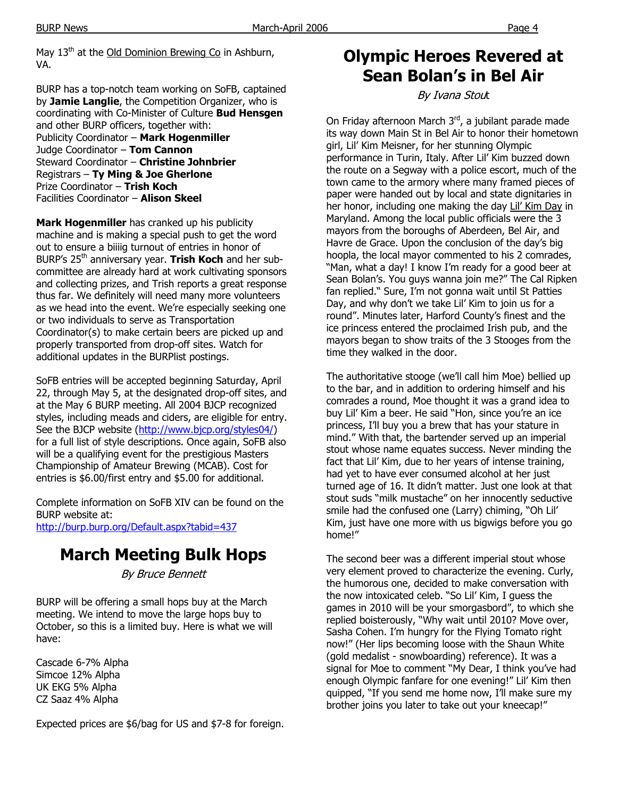May 13<sup>th</sup> at the Old Dominion Brewing Co in Ashburn. VA.

BURP has a top-notch team working on SoFB, captained by **Jamie Langlie**, the Competition Organizer, who is coordinating with Co-Minister of Culture **Bud Hensgen** and other BURP officers, together with: Publicity Coordinator – **Mark Hogenmiller** Judge Coordinator – **Tom Cannon** Steward Coordinator – **Christine Johnbrier** Registrars – **Ty Ming & Joe Gherlone** Prize Coordinator – **Trish Koch** Facilities Coordinator – **Alison Skeel**

**Mark Hogenmiller** has cranked up his publicity machine and is making a special push to get the word out to ensure a biiiig turnout of entries in honor of BURP's 25<sup>th</sup> anniversary year. **Trish Koch** and her subcommittee are already hard at work cultivating sponsors and collecting prizes, and Trish reports a great response thus far. We definitely will need many more volunteers as we head into the event. We're especially seeking one or two individuals to serve as Transportation Coordinator(s) to make certain beers are picked up and properly transported from drop-off sites. Watch for additional updates in the BURPlist postings.

SoFB entries will be accepted beginning Saturday, April 22, through May 5, at the designated drop-off sites, and at the May 6 BURP meeting. All 2004 BJCP recognized styles, including meads and ciders, are eligible for entry. See the BJCP website (http://www.bjcp.org/styles04/) for a full list of style descriptions. Once again, SoFB also will be a qualifying event for the prestigious Masters Championship of Amateur Brewing (MCAB). Cost for entries is \$6.00/first entry and \$5.00 for additional.

Complete information on SoFB XIV can be found on the BURP website at:

http://burp.burp.org/Default.aspx?tabid=437

# **March Meeting Bulk Hops**

By Bruce Bennett

BURP will be offering a small hops buy at the March meeting. We intend to move the large hops buy to October, so this is a limited buy. Here is what we will have:

Cascade 6-7% Alpha Simcoe 12% Alpha UK EKG 5% Alpha CZ Saaz 4% Alpha

Expected prices are \$6/bag for US and \$7-8 for foreign.

# **Olympic Heroes Revered at Sean Bolan's in Bel Air**

By Ivana Stout

On Friday afternoon March 3rd, a jubilant parade made its way down Main St in Bel Air to honor their hometown girl, Lil' Kim Meisner, for her stunning Olympic performance in Turin, Italy. After Lil' Kim buzzed down the route on a Segway with a police escort, much of the town came to the armory where many framed pieces of paper were handed out by local and state dignitaries in her honor, including one making the day Lil' Kim Day in Maryland. Among the local public officials were the 3 mayors from the boroughs of Aberdeen, Bel Air, and Havre de Grace. Upon the conclusion of the day's big hoopla, the local mayor commented to his 2 comrades, "Man, what a day! I know I'm ready for a good beer at Sean Bolan's. You guys wanna join me?" The Cal Ripken fan replied." Sure, I'm not gonna wait until St Patties Day, and why don't we take Lil' Kim to join us for a round". Minutes later, Harford County's finest and the ice princess entered the proclaimed Irish pub, and the mayors began to show traits of the 3 Stooges from the time they walked in the door.

The authoritative stooge (we'll call him Moe) bellied up to the bar, and in addition to ordering himself and his comrades a round, Moe thought it was a grand idea to buy Lil' Kim a beer. He said "Hon, since you're an ice princess, I'll buy you a brew that has your stature in mind." With that, the bartender served up an imperial stout whose name equates success. Never minding the fact that Lil' Kim, due to her years of intense training, had yet to have ever consumed alcohol at her just turned age of 16. It didn't matter. Just one look at that stout suds "milk mustache" on her innocently seductive smile had the confused one (Larry) chiming, "Oh Lil' Kim, just have one more with us bigwigs before you go home!"

The second beer was a different imperial stout whose very element proved to characterize the evening. Curly, the humorous one, decided to make conversation with the now intoxicated celeb. "So Lil' Kim, I guess the games in 2010 will be your smorgasbord", to which she replied boisterously, "Why wait until 2010? Move over, Sasha Cohen. I'm hungry for the Flying Tomato right now!" (Her lips becoming loose with the Shaun White (gold medalist - snowboarding) reference). It was a signal for Moe to comment "My Dear, I think you've had enough Olympic fanfare for one evening!" Lil' Kim then quipped, "If you send me home now, I'll make sure my brother joins you later to take out your kneecap!"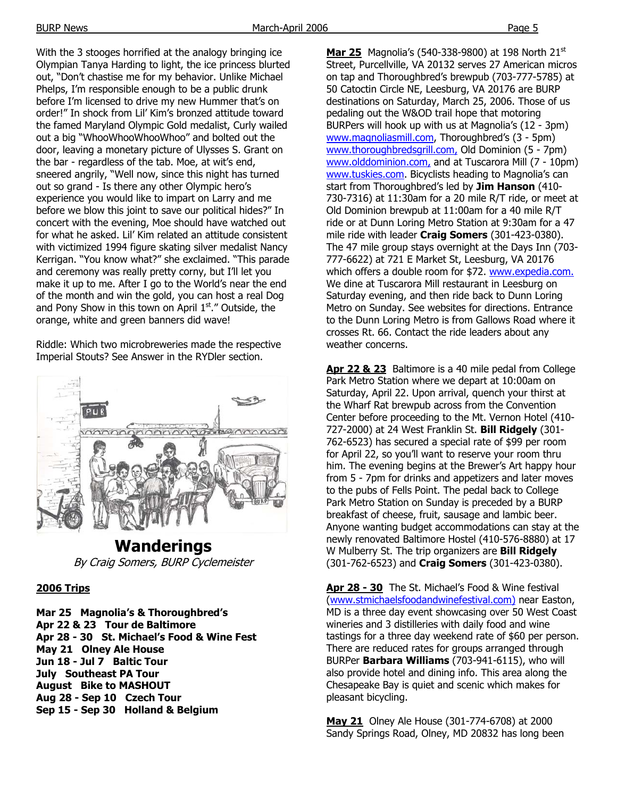With the 3 stooges horrified at the analogy bringing ice Olympian Tanya Harding to light, the ice princess blurted out, "Don't chastise me for my behavior. Unlike Michael Phelps, I'm responsible enough to be a public drunk before I'm licensed to drive my new Hummer that's on order!" In shock from Lil' Kim's bronzed attitude toward the famed Maryland Olympic Gold medalist, Curly wailed out a big "WhooWhooWhooWhoo" and bolted out the door, leaving a monetary picture of Ulysses S. Grant on the bar - regardless of the tab. Moe, at wit's end, sneered angrily, "Well now, since this night has turned out so grand - Is there any other Olympic hero's experience you would like to impart on Larry and me before we blow this joint to save our political hides?" In concert with the evening, Moe should have watched out for what he asked. Lil' Kim related an attitude consistent with victimized 1994 figure skating silver medalist Nancy Kerrigan. "You know what?" she exclaimed. "This parade and ceremony was really pretty corny, but I'll let you make it up to me. After I go to the World's near the end of the month and win the gold, you can host a real Dog and Pony Show in this town on April  $1<sup>st</sup>$ ." Outside, the orange, white and green banners did wave!

Riddle: Which two microbreweries made the respective Imperial Stouts? See Answer in the RYDler section.



**Wanderings**  By Craig Somers, BURP Cyclemeister

## **2006 Trips**

**Mar 25 Magnolia's & Thoroughbred's Apr 22 & 23 Tour de Baltimore Apr 28 - 30 St. Michael's Food & Wine Fest May 21 Olney Ale House Jun 18 - Jul 7 Baltic Tour July Southeast PA Tour August Bike to MASHOUT Aug 28 - Sep 10 Czech Tour Sep 15 - Sep 30 Holland & Belgium**

**Mar 25** Magnolia's (540-338-9800) at 198 North 21<sup>st</sup> Street, Purcellville, VA 20132 serves 27 American micros on tap and Thoroughbred's brewpub (703-777-5785) at 50 Catoctin Circle NE, Leesburg, VA 20176 are BURP destinations on Saturday, March 25, 2006. Those of us pedaling out the W&OD trail hope that motoring BURPers will hook up with us at Magnolia's (12 - 3pm) www.magnoliasmill.com, Thoroughbred's (3 - 5pm) www.thoroughbredsgrill.com, Old Dominion (5 - 7pm) www.olddominion.com, and at Tuscarora Mill (7 - 10pm) www.tuskies.com. Bicyclists heading to Magnolia's can start from Thoroughbred's led by **Jim Hanson** (410- 730-7316) at 11:30am for a 20 mile R/T ride, or meet at Old Dominion brewpub at 11:00am for a 40 mile R/T ride or at Dunn Loring Metro Station at 9:30am for a 47 mile ride with leader **Craig Somers** (301-423-0380). The 47 mile group stays overnight at the Days Inn (703- 777-6622) at 721 E Market St, Leesburg, VA 20176 which offers a double room for \$72. www.expedia.com. We dine at Tuscarora Mill restaurant in Leesburg on Saturday evening, and then ride back to Dunn Loring Metro on Sunday. See websites for directions. Entrance to the Dunn Loring Metro is from Gallows Road where it crosses Rt. 66. Contact the ride leaders about any weather concerns.

**Apr 22 & 23** Baltimore is a 40 mile pedal from College Park Metro Station where we depart at 10:00am on Saturday, April 22. Upon arrival, quench your thirst at the Wharf Rat brewpub across from the Convention Center before proceeding to the Mt. Vernon Hotel (410- 727-2000) at 24 West Franklin St. **Bill Ridgely** (301- 762-6523) has secured a special rate of \$99 per room for April 22, so you'll want to reserve your room thru him. The evening begins at the Brewer's Art happy hour from 5 - 7pm for drinks and appetizers and later moves to the pubs of Fells Point. The pedal back to College Park Metro Station on Sunday is preceded by a BURP breakfast of cheese, fruit, sausage and lambic beer. Anyone wanting budget accommodations can stay at the newly renovated Baltimore Hostel (410-576-8880) at 17 W Mulberry St. The trip organizers are **Bill Ridgely** (301-762-6523) and **Craig Somers** (301-423-0380).

**Apr 28 - 30** The St. Michael's Food & Wine festival (www.stmichaelsfoodandwinefestival.com) near Easton, MD is a three day event showcasing over 50 West Coast wineries and 3 distilleries with daily food and wine tastings for a three day weekend rate of \$60 per person. There are reduced rates for groups arranged through BURPer **Barbara Williams** (703-941-6115), who will also provide hotel and dining info. This area along the Chesapeake Bay is quiet and scenic which makes for pleasant bicycling.

**May 21** Olney Ale House (301-774-6708) at 2000 Sandy Springs Road, Olney, MD 20832 has long been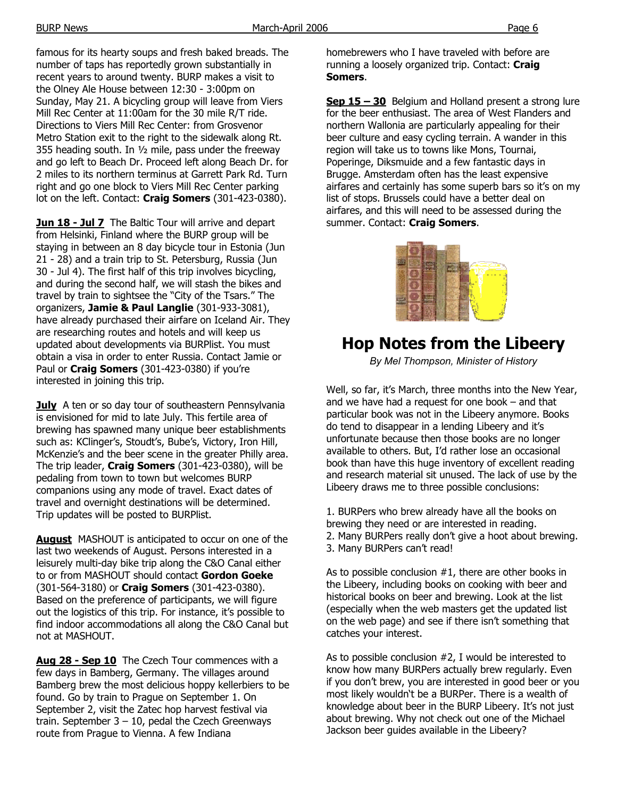famous for its hearty soups and fresh baked breads. The number of taps has reportedly grown substantially in recent years to around twenty. BURP makes a visit to the Olney Ale House between 12:30 - 3:00pm on Sunday, May 21. A bicycling group will leave from Viers Mill Rec Center at 11:00am for the 30 mile R/T ride. Directions to Viers Mill Rec Center: from Grosvenor Metro Station exit to the right to the sidewalk along Rt. 355 heading south. In ½ mile, pass under the freeway and go left to Beach Dr. Proceed left along Beach Dr. for 2 miles to its northern terminus at Garrett Park Rd. Turn right and go one block to Viers Mill Rec Center parking

lot on the left. Contact: **Craig Somers** (301-423-0380).

**Jun 18 - Jul 7** The Baltic Tour will arrive and depart from Helsinki, Finland where the BURP group will be staying in between an 8 day bicycle tour in Estonia (Jun 21 - 28) and a train trip to St. Petersburg, Russia (Jun 30 - Jul 4). The first half of this trip involves bicycling, and during the second half, we will stash the bikes and travel by train to sightsee the "City of the Tsars." The organizers, **Jamie & Paul Langlie** (301-933-3081), have already purchased their airfare on Iceland Air. They are researching routes and hotels and will keep us updated about developments via BURPlist. You must obtain a visa in order to enter Russia. Contact Jamie or Paul or **Craig Somers** (301-423-0380) if you're interested in joining this trip.

**July** A ten or so day tour of southeastern Pennsylvania is envisioned for mid to late July. This fertile area of brewing has spawned many unique beer establishments such as: KClinger's, Stoudt's, Bube's, Victory, Iron Hill, McKenzie's and the beer scene in the greater Philly area. The trip leader, **Craig Somers** (301-423-0380), will be pedaling from town to town but welcomes BURP companions using any mode of travel. Exact dates of travel and overnight destinations will be determined. Trip updates will be posted to BURPlist.

**August** MASHOUT is anticipated to occur on one of the last two weekends of August. Persons interested in a leisurely multi-day bike trip along the C&O Canal either to or from MASHOUT should contact **Gordon Goeke** (301-564-3180) or **Craig Somers** (301-423-0380). Based on the preference of participants, we will figure out the logistics of this trip. For instance, it's possible to find indoor accommodations all along the C&O Canal but not at MASHOUT.

**Aug 28 - Sep 10** The Czech Tour commences with a few days in Bamberg, Germany. The villages around Bamberg brew the most delicious hoppy kellerbiers to be found. Go by train to Prague on September 1. On September 2, visit the Zatec hop harvest festival via train. September  $3 - 10$ , pedal the Czech Greenways route from Prague to Vienna. A few Indiana

homebrewers who I have traveled with before are running a loosely organized trip. Contact: **Craig Somers**.

**Sep 15 – 30** Belgium and Holland present a strong lure for the beer enthusiast. The area of West Flanders and northern Wallonia are particularly appealing for their beer culture and easy cycling terrain. A wander in this region will take us to towns like Mons, Tournai, Poperinge, Diksmuide and a few fantastic days in Brugge. Amsterdam often has the least expensive airfares and certainly has some superb bars so it's on my list of stops. Brussels could have a better deal on airfares, and this will need to be assessed during the summer. Contact: **Craig Somers**.



# **Hop Notes from the Libeery**

*By Mel Thompson, Minister of History* 

Well, so far, it's March, three months into the New Year, and we have had a request for one book – and that particular book was not in the Libeery anymore. Books do tend to disappear in a lending Libeery and it's unfortunate because then those books are no longer available to others. But, I'd rather lose an occasional book than have this huge inventory of excellent reading and research material sit unused. The lack of use by the Libeery draws me to three possible conclusions:

1. BURPers who brew already have all the books on brewing they need or are interested in reading. 2. Many BURPers really don't give a hoot about brewing. 3. Many BURPers can't read!

As to possible conclusion #1, there are other books in the Libeery, including books on cooking with beer and historical books on beer and brewing. Look at the list (especially when the web masters get the updated list on the web page) and see if there isn't something that catches your interest.

As to possible conclusion #2, I would be interested to know how many BURPers actually brew regularly. Even if you don't brew, you are interested in good beer or you most likely wouldn't be a BURPer. There is a wealth of knowledge about beer in the BURP Libeery. It's not just about brewing. Why not check out one of the Michael Jackson beer guides available in the Libeery?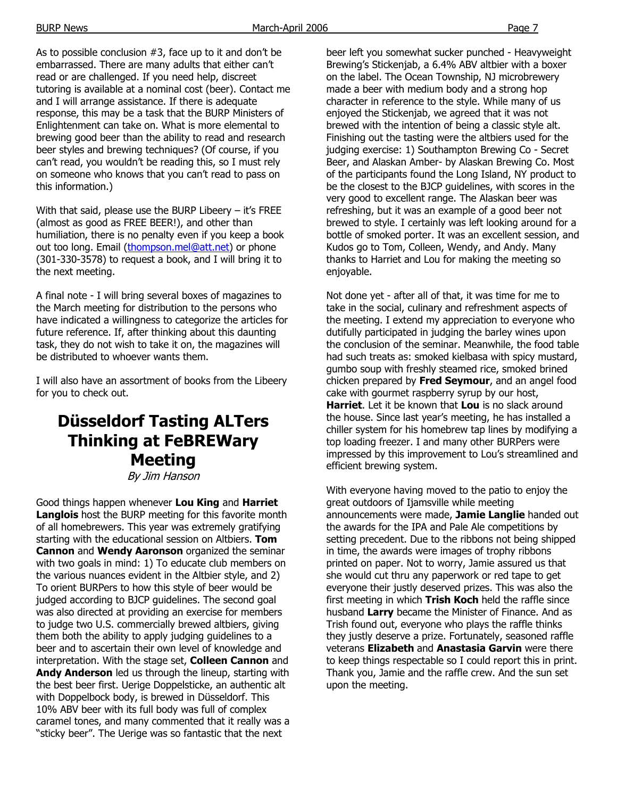As to possible conclusion #3, face up to it and don't be embarrassed. There are many adults that either can't read or are challenged. If you need help, discreet tutoring is available at a nominal cost (beer). Contact me and I will arrange assistance. If there is adequate response, this may be a task that the BURP Ministers of Enlightenment can take on. What is more elemental to brewing good beer than the ability to read and research beer styles and brewing techniques? (Of course, if you can't read, you wouldn't be reading this, so I must rely on someone who knows that you can't read to pass on this information.)

With that said, please use the BURP Libeery – it's FREE (almost as good as FREE BEER!), and other than humiliation, there is no penalty even if you keep a book out too long. Email (thompson.mel@att.net) or phone (301-330-3578) to request a book, and I will bring it to the next meeting.

A final note - I will bring several boxes of magazines to the March meeting for distribution to the persons who have indicated a willingness to categorize the articles for future reference. If, after thinking about this daunting task, they do not wish to take it on, the magazines will be distributed to whoever wants them.

I will also have an assortment of books from the Libeery for you to check out.

# **Düsseldorf Tasting ALTers Thinking at FeBREWary Meeting**

By Jim Hanson

Good things happen whenever **Lou King** and **Harriet Langlois** host the BURP meeting for this favorite month of all homebrewers. This year was extremely gratifying starting with the educational session on Altbiers. **Tom Cannon** and **Wendy Aaronson** organized the seminar with two goals in mind: 1) To educate club members on the various nuances evident in the Altbier style, and 2) To orient BURPers to how this style of beer would be judged according to BJCP guidelines. The second goal was also directed at providing an exercise for members to judge two U.S. commercially brewed altbiers, giving them both the ability to apply judging guidelines to a beer and to ascertain their own level of knowledge and interpretation. With the stage set, **Colleen Cannon** and **Andy Anderson** led us through the lineup, starting with the best beer first. Uerige Doppelsticke, an authentic alt with Doppelbock body, is brewed in Düsseldorf. This 10% ABV beer with its full body was full of complex caramel tones, and many commented that it really was a "sticky beer". The Uerige was so fantastic that the next

beer left you somewhat sucker punched - Heavyweight Brewing's Stickenjab, a 6.4% ABV altbier with a boxer on the label. The Ocean Township, NJ microbrewery made a beer with medium body and a strong hop character in reference to the style. While many of us enjoyed the Stickenjab, we agreed that it was not brewed with the intention of being a classic style alt. Finishing out the tasting were the altbiers used for the judging exercise: 1) Southampton Brewing Co - Secret Beer, and Alaskan Amber- by Alaskan Brewing Co. Most of the participants found the Long Island, NY product to be the closest to the BJCP guidelines, with scores in the very good to excellent range. The Alaskan beer was refreshing, but it was an example of a good beer not brewed to style. I certainly was left looking around for a bottle of smoked porter. It was an excellent session, and Kudos go to Tom, Colleen, Wendy, and Andy. Many thanks to Harriet and Lou for making the meeting so enjoyable.

Not done yet - after all of that, it was time for me to take in the social, culinary and refreshment aspects of the meeting. I extend my appreciation to everyone who dutifully participated in judging the barley wines upon the conclusion of the seminar. Meanwhile, the food table had such treats as: smoked kielbasa with spicy mustard, gumbo soup with freshly steamed rice, smoked brined chicken prepared by **Fred Seymour**, and an angel food cake with gourmet raspberry syrup by our host, **Harriet**. Let it be known that **Lou** is no slack around the house. Since last year's meeting, he has installed a chiller system for his homebrew tap lines by modifying a top loading freezer. I and many other BURPers were impressed by this improvement to Lou's streamlined and efficient brewing system.

With everyone having moved to the patio to enjoy the great outdoors of Ijamsville while meeting announcements were made, **Jamie Langlie** handed out the awards for the IPA and Pale Ale competitions by setting precedent. Due to the ribbons not being shipped in time, the awards were images of trophy ribbons printed on paper. Not to worry, Jamie assured us that she would cut thru any paperwork or red tape to get everyone their justly deserved prizes. This was also the first meeting in which **Trish Koch** held the raffle since husband **Larry** became the Minister of Finance. And as Trish found out, everyone who plays the raffle thinks they justly deserve a prize. Fortunately, seasoned raffle veterans **Elizabeth** and **Anastasia Garvin** were there to keep things respectable so I could report this in print. Thank you, Jamie and the raffle crew. And the sun set upon the meeting.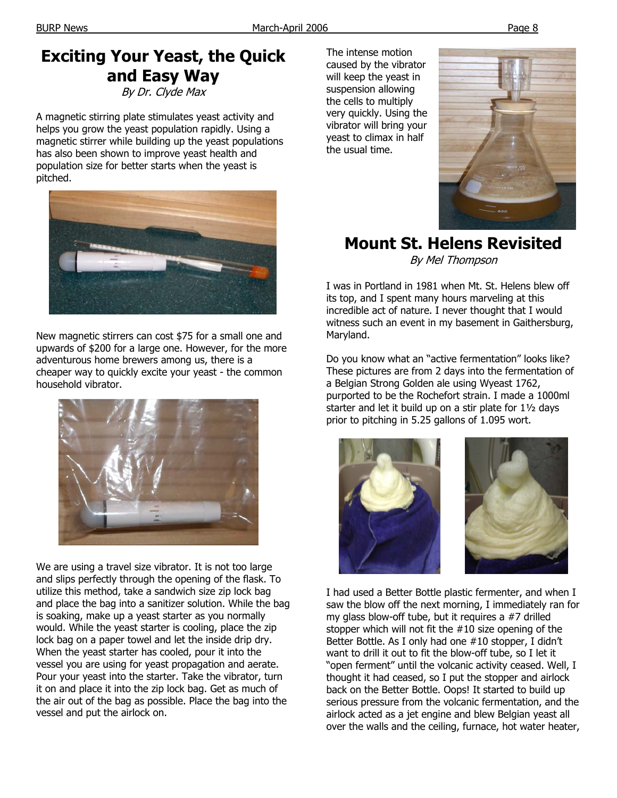# **Exciting Your Yeast, the Quick and Easy Way**

By Dr. Clyde Max

A magnetic stirring plate stimulates yeast activity and helps you grow the yeast population rapidly. Using a magnetic stirrer while building up the yeast populations has also been shown to improve yeast health and population size for better starts when the yeast is pitched.



New magnetic stirrers can cost \$75 for a small one and upwards of \$200 for a large one. However, for the more adventurous home brewers among us, there is a cheaper way to quickly excite your yeast - the common household vibrator.



We are using a travel size vibrator. It is not too large and slips perfectly through the opening of the flask. To utilize this method, take a sandwich size zip lock bag and place the bag into a sanitizer solution. While the bag is soaking, make up a yeast starter as you normally would. While the yeast starter is cooling, place the zip lock bag on a paper towel and let the inside drip dry. When the yeast starter has cooled, pour it into the vessel you are using for yeast propagation and aerate. Pour your yeast into the starter. Take the vibrator, turn it on and place it into the zip lock bag. Get as much of the air out of the bag as possible. Place the bag into the vessel and put the airlock on.

The intense motion caused by the vibrator will keep the yeast in suspension allowing the cells to multiply very quickly. Using the vibrator will bring your yeast to climax in half the usual time.



**Mount St. Helens Revisited**  By Mel Thompson

I was in Portland in 1981 when Mt. St. Helens blew off its top, and I spent many hours marveling at this incredible act of nature. I never thought that I would witness such an event in my basement in Gaithersburg, Maryland.

Do you know what an "active fermentation" looks like? These pictures are from 2 days into the fermentation of a Belgian Strong Golden ale using Wyeast 1762, purported to be the Rochefort strain. I made a 1000ml starter and let it build up on a stir plate for 1½ days prior to pitching in 5.25 gallons of 1.095 wort.



I had used a Better Bottle plastic fermenter, and when I saw the blow off the next morning, I immediately ran for my glass blow-off tube, but it requires a #7 drilled stopper which will not fit the #10 size opening of the Better Bottle. As I only had one #10 stopper, I didn't want to drill it out to fit the blow-off tube, so I let it "open ferment" until the volcanic activity ceased. Well, I thought it had ceased, so I put the stopper and airlock back on the Better Bottle. Oops! It started to build up serious pressure from the volcanic fermentation, and the airlock acted as a jet engine and blew Belgian yeast all over the walls and the ceiling, furnace, hot water heater,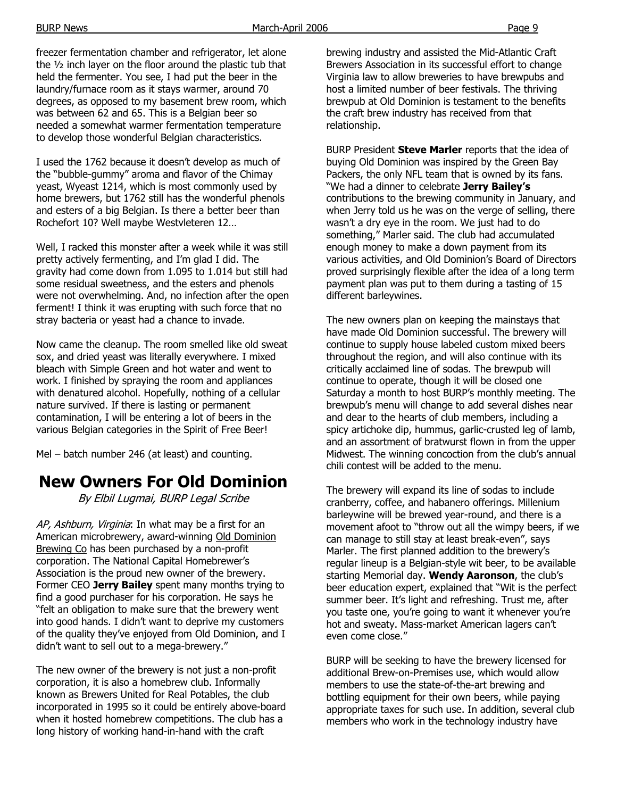freezer fermentation chamber and refrigerator, let alone the ½ inch layer on the floor around the plastic tub that held the fermenter. You see, I had put the beer in the laundry/furnace room as it stays warmer, around 70 degrees, as opposed to my basement brew room, which was between 62 and 65. This is a Belgian beer so needed a somewhat warmer fermentation temperature to develop those wonderful Belgian characteristics.

I used the 1762 because it doesn't develop as much of the "bubble-gummy" aroma and flavor of the Chimay yeast, Wyeast 1214, which is most commonly used by home brewers, but 1762 still has the wonderful phenols and esters of a big Belgian. Is there a better beer than Rochefort 10? Well maybe Westvleteren 12…

Well, I racked this monster after a week while it was still pretty actively fermenting, and I'm glad I did. The gravity had come down from 1.095 to 1.014 but still had some residual sweetness, and the esters and phenols were not overwhelming. And, no infection after the open ferment! I think it was erupting with such force that no stray bacteria or yeast had a chance to invade.

Now came the cleanup. The room smelled like old sweat sox, and dried yeast was literally everywhere. I mixed bleach with Simple Green and hot water and went to work. I finished by spraying the room and appliances with denatured alcohol. Hopefully, nothing of a cellular nature survived. If there is lasting or permanent contamination, I will be entering a lot of beers in the various Belgian categories in the Spirit of Free Beer!

Mel – batch number 246 (at least) and counting.

# **New Owners For Old Dominion**

By Elbil Lugmai, BURP Legal Scribe

AP, Ashburn, Virginia: In what may be a first for an American microbrewery, award-winning Old Dominion Brewing Co has been purchased by a non-profit corporation. The National Capital Homebrewer's Association is the proud new owner of the brewery. Former CEO **Jerry Bailey** spent many months trying to find a good purchaser for his corporation. He says he "felt an obligation to make sure that the brewery went into good hands. I didn't want to deprive my customers of the quality they've enjoyed from Old Dominion, and I didn't want to sell out to a mega-brewery."

The new owner of the brewery is not just a non-profit corporation, it is also a homebrew club. Informally known as Brewers United for Real Potables, the club incorporated in 1995 so it could be entirely above-board when it hosted homebrew competitions. The club has a long history of working hand-in-hand with the craft

brewing industry and assisted the Mid-Atlantic Craft Brewers Association in its successful effort to change Virginia law to allow breweries to have brewpubs and host a limited number of beer festivals. The thriving brewpub at Old Dominion is testament to the benefits the craft brew industry has received from that relationship.

BURP President **Steve Marler** reports that the idea of buying Old Dominion was inspired by the Green Bay Packers, the only NFL team that is owned by its fans. "We had a dinner to celebrate **Jerry Bailey's** contributions to the brewing community in January, and when Jerry told us he was on the verge of selling, there wasn't a dry eye in the room. We just had to do something," Marler said. The club had accumulated enough money to make a down payment from its various activities, and Old Dominion's Board of Directors proved surprisingly flexible after the idea of a long term payment plan was put to them during a tasting of 15 different barleywines.

The new owners plan on keeping the mainstays that have made Old Dominion successful. The brewery will continue to supply house labeled custom mixed beers throughout the region, and will also continue with its critically acclaimed line of sodas. The brewpub will continue to operate, though it will be closed one Saturday a month to host BURP's monthly meeting. The brewpub's menu will change to add several dishes near and dear to the hearts of club members, including a spicy artichoke dip, hummus, garlic-crusted leg of lamb, and an assortment of bratwurst flown in from the upper Midwest. The winning concoction from the club's annual chili contest will be added to the menu.

The brewery will expand its line of sodas to include cranberry, coffee, and habanero offerings. Millenium barleywine will be brewed year-round, and there is a movement afoot to "throw out all the wimpy beers, if we can manage to still stay at least break-even", says Marler. The first planned addition to the brewery's regular lineup is a Belgian-style wit beer, to be available starting Memorial day. **Wendy Aaronson**, the club's beer education expert, explained that "Wit is the perfect summer beer. It's light and refreshing. Trust me, after you taste one, you're going to want it whenever you're hot and sweaty. Mass-market American lagers can't even come close."

BURP will be seeking to have the brewery licensed for additional Brew-on-Premises use, which would allow members to use the state-of-the-art brewing and bottling equipment for their own beers, while paying appropriate taxes for such use. In addition, several club members who work in the technology industry have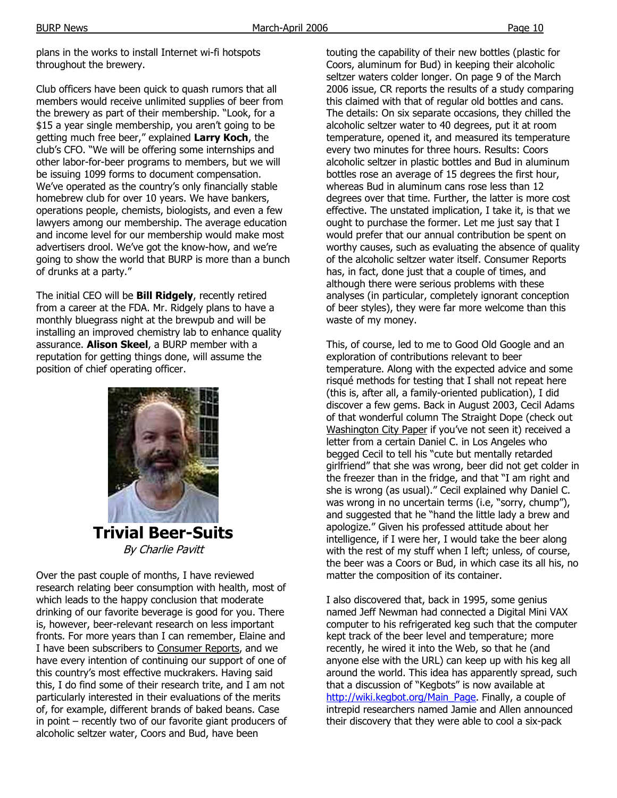plans in the works to install Internet wi-fi hotspots throughout the brewery.

Club officers have been quick to quash rumors that all members would receive unlimited supplies of beer from the brewery as part of their membership. "Look, for a \$15 a year single membership, you aren't going to be getting much free beer," explained **Larry Koch**, the club's CFO. "We will be offering some internships and other labor-for-beer programs to members, but we will be issuing 1099 forms to document compensation. We've operated as the country's only financially stable homebrew club for over 10 years. We have bankers, operations people, chemists, biologists, and even a few lawyers among our membership. The average education and income level for our membership would make most advertisers drool. We've got the know-how, and we're going to show the world that BURP is more than a bunch of drunks at a party."

The initial CEO will be **Bill Ridgely**, recently retired from a career at the FDA. Mr. Ridgely plans to have a monthly bluegrass night at the brewpub and will be installing an improved chemistry lab to enhance quality assurance. **Alison Skeel**, a BURP member with a reputation for getting things done, will assume the position of chief operating officer.



By Charlie Pavitt

Over the past couple of months, I have reviewed research relating beer consumption with health, most of which leads to the happy conclusion that moderate drinking of our favorite beverage is good for you. There is, however, beer-relevant research on less important fronts. For more years than I can remember, Elaine and I have been subscribers to Consumer Reports, and we have every intention of continuing our support of one of this country's most effective muckrakers. Having said this, I do find some of their research trite, and I am not particularly interested in their evaluations of the merits of, for example, different brands of baked beans. Case in point – recently two of our favorite giant producers of alcoholic seltzer water, Coors and Bud, have been

touting the capability of their new bottles (plastic for Coors, aluminum for Bud) in keeping their alcoholic seltzer waters colder longer. On page 9 of the March 2006 issue, CR reports the results of a study comparing this claimed with that of regular old bottles and cans. The details: On six separate occasions, they chilled the alcoholic seltzer water to 40 degrees, put it at room temperature, opened it, and measured its temperature every two minutes for three hours. Results: Coors alcoholic seltzer in plastic bottles and Bud in aluminum bottles rose an average of 15 degrees the first hour, whereas Bud in aluminum cans rose less than 12 degrees over that time. Further, the latter is more cost effective. The unstated implication, I take it, is that we ought to purchase the former. Let me just say that I would prefer that our annual contribution be spent on worthy causes, such as evaluating the absence of quality of the alcoholic seltzer water itself. Consumer Reports has, in fact, done just that a couple of times, and although there were serious problems with these analyses (in particular, completely ignorant conception of beer styles), they were far more welcome than this waste of my money.

This, of course, led to me to Good Old Google and an exploration of contributions relevant to beer temperature. Along with the expected advice and some risqué methods for testing that I shall not repeat here (this is, after all, a family-oriented publication), I did discover a few gems. Back in August 2003, Cecil Adams of that wonderful column The Straight Dope (check out Washington City Paper if you've not seen it) received a letter from a certain Daniel C. in Los Angeles who begged Cecil to tell his "cute but mentally retarded girlfriend" that she was wrong, beer did not get colder in the freezer than in the fridge, and that "I am right and she is wrong (as usual)." Cecil explained why Daniel C. was wrong in no uncertain terms (i.e, "sorry, chump"), and suggested that he "hand the little lady a brew and apologize." Given his professed attitude about her intelligence, if I were her, I would take the beer along with the rest of my stuff when I left; unless, of course, the beer was a Coors or Bud, in which case its all his, no matter the composition of its container.

I also discovered that, back in 1995, some genius named Jeff Newman had connected a Digital Mini VAX computer to his refrigerated keg such that the computer kept track of the beer level and temperature; more recently, he wired it into the Web, so that he (and anyone else with the URL) can keep up with his keg all around the world. This idea has apparently spread, such that a discussion of "Kegbots" is now available at http://wiki.kegbot.org/Main\_Page. Finally, a couple of intrepid researchers named Jamie and Allen announced their discovery that they were able to cool a six-pack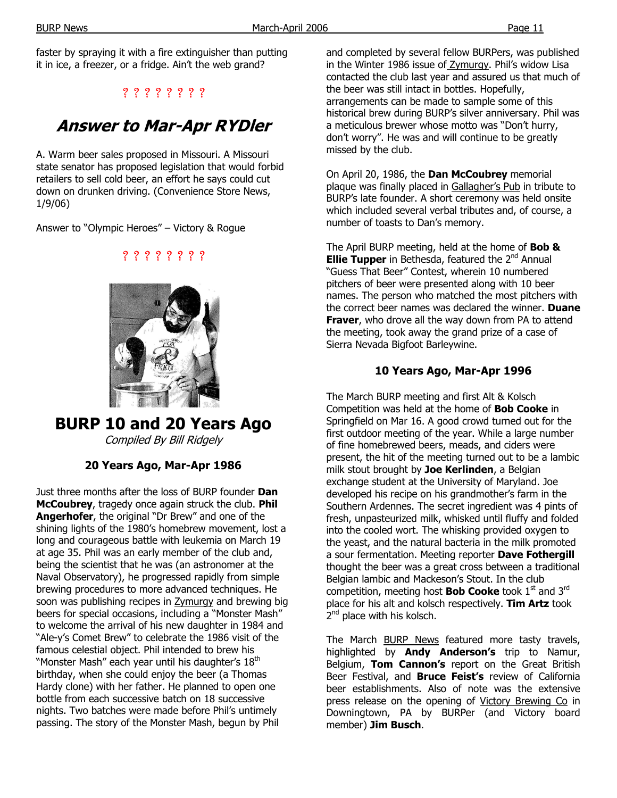faster by spraying it with a fire extinguisher than putting it in ice, a freezer, or a fridge. Ain't the web grand?

## ? ? ? ? ? ? ? ?

# **Answer to Mar-Apr RYDler**

A. Warm beer sales proposed in Missouri. A Missouri state senator has proposed legislation that would forbid retailers to sell cold beer, an effort he says could cut down on drunken driving. (Convenience Store News, 1/9/06)

? ? ? ? ? ? ? ?

Answer to "Olympic Heroes" – Victory & Rogue

**BURP 10 and 20 Years Ago**  Compiled By Bill Ridgely

## **20 Years Ago, Mar-Apr 1986**

Just three months after the loss of BURP founder **Dan McCoubrey**, tragedy once again struck the club. **Phil Angerhofer**, the original "Dr Brew" and one of the shining lights of the 1980's homebrew movement, lost a long and courageous battle with leukemia on March 19 at age 35. Phil was an early member of the club and, being the scientist that he was (an astronomer at the Naval Observatory), he progressed rapidly from simple brewing procedures to more advanced techniques. He soon was publishing recipes in **Zymurgy** and brewing big beers for special occasions, including a "Monster Mash" to welcome the arrival of his new daughter in 1984 and "Ale-y's Comet Brew" to celebrate the 1986 visit of the famous celestial object. Phil intended to brew his "Monster Mash" each year until his daughter's 18<sup>th</sup> birthday, when she could enjoy the beer (a Thomas Hardy clone) with her father. He planned to open one bottle from each successive batch on 18 successive nights. Two batches were made before Phil's untimely passing. The story of the Monster Mash, begun by Phil

and completed by several fellow BURPers, was published in the Winter 1986 issue of **Zymurgy**. Phil's widow Lisa contacted the club last year and assured us that much of the beer was still intact in bottles. Hopefully, arrangements can be made to sample some of this historical brew during BURP's silver anniversary. Phil was a meticulous brewer whose motto was "Don't hurry, don't worry". He was and will continue to be greatly missed by the club.

On April 20, 1986, the **Dan McCoubrey** memorial plaque was finally placed in Gallagher's Pub in tribute to BURP's late founder. A short ceremony was held onsite which included several verbal tributes and, of course, a number of toasts to Dan's memory.

The April BURP meeting, held at the home of **Bob & Ellie Tupper** in Bethesda, featured the 2<sup>nd</sup> Annual "Guess That Beer" Contest, wherein 10 numbered pitchers of beer were presented along with 10 beer names. The person who matched the most pitchers with the correct beer names was declared the winner. **Duane Fraver**, who drove all the way down from PA to attend the meeting, took away the grand prize of a case of Sierra Nevada Bigfoot Barleywine.

## **10 Years Ago, Mar-Apr 1996**

The March BURP meeting and first Alt & Kolsch Competition was held at the home of **Bob Cooke** in Springfield on Mar 16. A good crowd turned out for the first outdoor meeting of the year. While a large number of fine homebrewed beers, meads, and ciders were present, the hit of the meeting turned out to be a lambic milk stout brought by **Joe Kerlinden**, a Belgian exchange student at the University of Maryland. Joe developed his recipe on his grandmother's farm in the Southern Ardennes. The secret ingredient was 4 pints of fresh, unpasteurized milk, whisked until fluffy and folded into the cooled wort. The whisking provided oxygen to the yeast, and the natural bacteria in the milk promoted a sour fermentation. Meeting reporter **Dave Fothergill** thought the beer was a great cross between a traditional Belgian lambic and Mackeson's Stout. In the club competition, meeting host **Bob Cooke** took 1<sup>st</sup> and 3<sup>rd</sup> place for his alt and kolsch respectively. **Tim Artz** took  $2<sup>nd</sup>$  place with his kolsch.

The March BURP News featured more tasty travels, highlighted by **Andy Anderson's** trip to Namur, Belgium, **Tom Cannon's** report on the Great British Beer Festival, and **Bruce Feist's** review of California beer establishments. Also of note was the extensive press release on the opening of Victory Brewing Co in Downingtown, PA by BURPer (and Victory board member) **Jim Busch**.

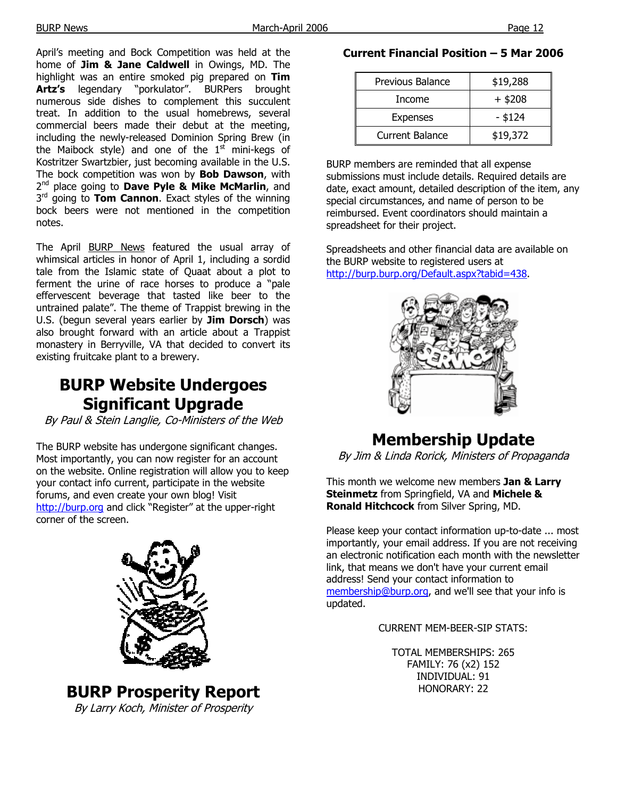April's meeting and Bock Competition was held at the home of **Jim & Jane Caldwell** in Owings, MD. The highlight was an entire smoked pig prepared on **Tim Artz's** legendary "porkulator". BURPers brought numerous side dishes to complement this succulent treat. In addition to the usual homebrews, several commercial beers made their debut at the meeting, including the newly-released Dominion Spring Brew (in the Maibock style) and one of the  $1<sup>st</sup>$  mini-kegs of Kostritzer Swartzbier, just becoming available in the U.S. The bock competition was won by **Bob Dawson**, with 2<sup>nd</sup> place going to **Dave Pyle & Mike McMarlin**, and 3<sup>rd</sup> going to **Tom Cannon**. Exact styles of the winning bock beers were not mentioned in the competition notes.

The April BURP News featured the usual array of whimsical articles in honor of April 1, including a sordid tale from the Islamic state of Quaat about a plot to ferment the urine of race horses to produce a "pale effervescent beverage that tasted like beer to the untrained palate". The theme of Trappist brewing in the U.S. (begun several years earlier by **Jim Dorsch**) was also brought forward with an article about a Trappist monastery in Berryville, VA that decided to convert its existing fruitcake plant to a brewery.

# **BURP Website Undergoes Significant Upgrade**

By Paul & Stein Langlie, Co-Ministers of the Web

The BURP website has undergone significant changes. Most importantly, you can now register for an account on the website. Online registration will allow you to keep your contact info current, participate in the website forums, and even create your own blog! Visit http://burp.org and click "Register" at the upper-right corner of the screen.



**BURP Prosperity Report**  By Larry Koch, Minister of Prosperity

## **Current Financial Position – 5 Mar 2006**

| Previous Balance       | \$19,288  |
|------------------------|-----------|
| Income                 | $+$ \$208 |
| <b>Expenses</b>        | $-$ \$124 |
| <b>Current Balance</b> | \$19,372  |

BURP members are reminded that all expense submissions must include details. Required details are date, exact amount, detailed description of the item, any special circumstances, and name of person to be reimbursed. Event coordinators should maintain a spreadsheet for their project.

Spreadsheets and other financial data are available on the BURP website to registered users at http://burp.burp.org/Default.aspx?tabid=438.



# **Membership Update**

By Jim & Linda Rorick, Ministers of Propaganda

This month we welcome new members **Jan & Larry Steinmetz** from Springfield, VA and **Michele & Ronald Hitchcock** from Silver Spring, MD.

Please keep your contact information up-to-date ... most importantly, your email address. If you are not receiving an electronic notification each month with the newsletter link, that means we don't have your current email address! Send your contact information to membership@burp.org, and we'll see that your info is updated.

CURRENT MEM-BEER-SIP STATS:

TOTAL MEMBERSHIPS: 265 FAMILY: 76 (x2) 152 INDIVIDUAL: 91 HONORARY: 22